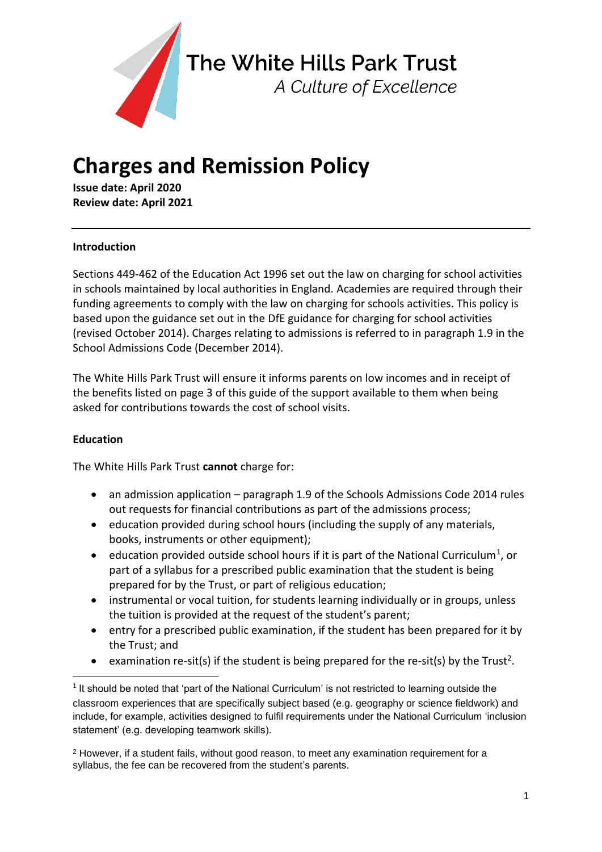

The White Hills Park Trust

A Culture of Excellence

# **Charges and Remission Policy**

**Issue date: April 2020 Review date: April 2021**

# **Introduction**

Sections 449-462 of the Education Act 1996 set out the law on charging for school activities in schools maintained by local authorities in England. Academies are required through their funding agreements to comply with the law on charging for schools activities. This policy is based upon the guidance set out in the DfE guidance for charging for school activities (revised October 2014). Charges relating to admissions is referred to in paragraph 1.9 in the School Admissions Code (December 2014).

The White Hills Park Trust will ensure it informs parents on low incomes and in receipt of the benefits listed on page 3 of this guide of the support available to them when being asked for contributions towards the cost of school visits.

### **Education**

**.** 

The White Hills Park Trust **cannot** charge for:

- an admission application paragraph 1.9 of the Schools Admissions Code 2014 rules out requests for financial contributions as part of the admissions process;
- education provided during school hours (including the supply of any materials, books, instruments or other equipment);
- $\bullet$  education provided outside school hours if it is part of the National Curriculum<sup>1</sup>, or part of a syllabus for a prescribed public examination that the student is being prepared for by the Trust, or part of religious education;
- instrumental or vocal tuition, for students learning individually or in groups, unless the tuition is provided at the request of the student's parent;
- entry for a prescribed public examination, if the student has been prepared for it by the Trust; and
- examination re-sit(s) if the student is being prepared for the re-sit(s) by the Trust<sup>2</sup>.

 $1$  It should be noted that 'part of the National Curriculum' is not restricted to learning outside the classroom experiences that are specifically subject based (e.g. geography or science fieldwork) and include, for example, activities designed to fulfil requirements under the National Curriculum 'inclusion statement' (e.g. developing teamwork skills).

<sup>2</sup> However, if a student fails, without good reason, to meet any examination requirement for a syllabus, the fee can be recovered from the student's parents.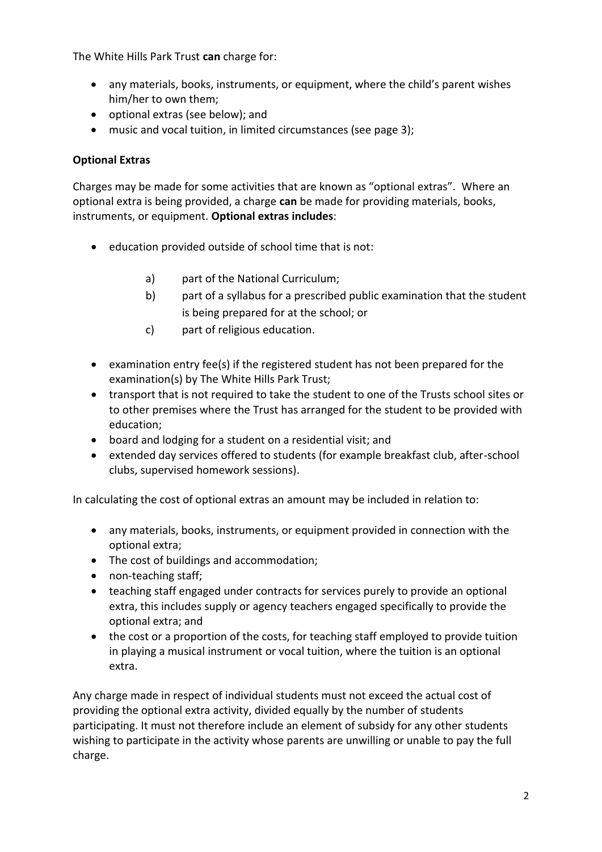The White Hills Park Trust **can** charge for:

- any materials, books, instruments, or equipment, where the child's parent wishes him/her to own them;
- optional extras (see below); and
- music and vocal tuition, in limited circumstances (see page 3);

# **Optional Extras**

Charges may be made for some activities that are known as "optional extras". Where an optional extra is being provided, a charge **can** be made for providing materials, books, instruments, or equipment. **Optional extras includes**:

- education provided outside of school time that is not:
	- a) part of the National Curriculum;
	- b) part of a syllabus for a prescribed public examination that the student is being prepared for at the school; or
	- c) part of religious education.
- examination entry fee(s) if the registered student has not been prepared for the examination(s) by The White Hills Park Trust;
- transport that is not required to take the student to one of the Trusts school sites or to other premises where the Trust has arranged for the student to be provided with education;
- board and lodging for a student on a residential visit; and
- extended day services offered to students (for example breakfast club, after-school clubs, supervised homework sessions).

In calculating the cost of optional extras an amount may be included in relation to:

- any materials, books, instruments, or equipment provided in connection with the optional extra;
- The cost of buildings and accommodation;
- non-teaching staff;
- teaching staff engaged under contracts for services purely to provide an optional extra, this includes supply or agency teachers engaged specifically to provide the optional extra; and
- the cost or a proportion of the costs, for teaching staff employed to provide tuition in playing a musical instrument or vocal tuition, where the tuition is an optional extra.

Any charge made in respect of individual students must not exceed the actual cost of providing the optional extra activity, divided equally by the number of students participating. It must not therefore include an element of subsidy for any other students wishing to participate in the activity whose parents are unwilling or unable to pay the full charge.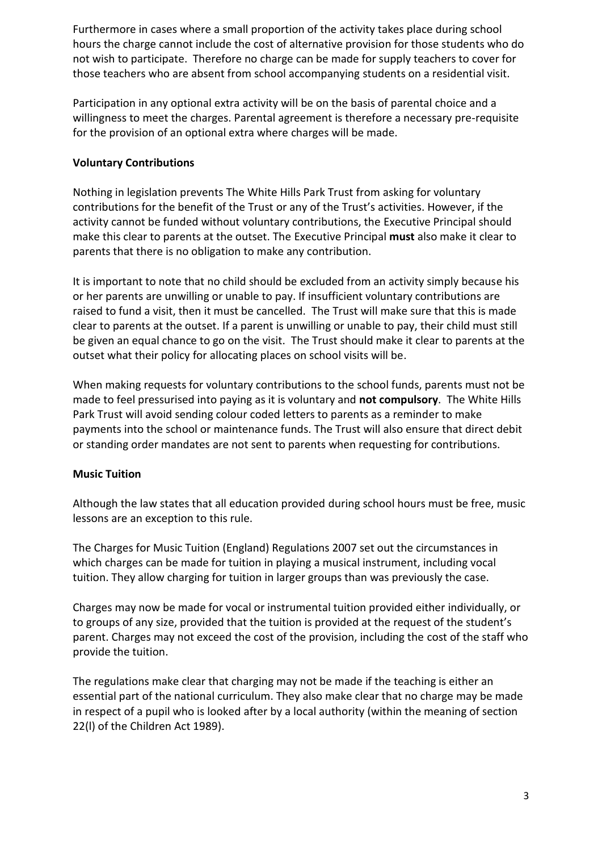Furthermore in cases where a small proportion of the activity takes place during school hours the charge cannot include the cost of alternative provision for those students who do not wish to participate. Therefore no charge can be made for supply teachers to cover for those teachers who are absent from school accompanying students on a residential visit.

Participation in any optional extra activity will be on the basis of parental choice and a willingness to meet the charges. Parental agreement is therefore a necessary pre-requisite for the provision of an optional extra where charges will be made.

## **Voluntary Contributions**

Nothing in legislation prevents The White Hills Park Trust from asking for voluntary contributions for the benefit of the Trust or any of the Trust's activities. However, if the activity cannot be funded without voluntary contributions, the Executive Principal should make this clear to parents at the outset. The Executive Principal **must** also make it clear to parents that there is no obligation to make any contribution.

It is important to note that no child should be excluded from an activity simply because his or her parents are unwilling or unable to pay. If insufficient voluntary contributions are raised to fund a visit, then it must be cancelled. The Trust will make sure that this is made clear to parents at the outset. If a parent is unwilling or unable to pay, their child must still be given an equal chance to go on the visit. The Trust should make it clear to parents at the outset what their policy for allocating places on school visits will be.

When making requests for voluntary contributions to the school funds, parents must not be made to feel pressurised into paying as it is voluntary and **not compulsory**. The White Hills Park Trust will avoid sending colour coded letters to parents as a reminder to make payments into the school or maintenance funds. The Trust will also ensure that direct debit or standing order mandates are not sent to parents when requesting for contributions.

### **Music Tuition**

Although the law states that all education provided during school hours must be free, music lessons are an exception to this rule.

The Charges for Music Tuition (England) Regulations 2007 set out the circumstances in which charges can be made for tuition in playing a musical instrument, including vocal tuition. They allow charging for tuition in larger groups than was previously the case.

Charges may now be made for vocal or instrumental tuition provided either individually, or to groups of any size, provided that the tuition is provided at the request of the student's parent. Charges may not exceed the cost of the provision, including the cost of the staff who provide the tuition.

The regulations make clear that charging may not be made if the teaching is either an essential part of the national curriculum. They also make clear that no charge may be made in respect of a pupil who is looked after by a local authority (within the meaning of section 22(l) of the Children Act 1989).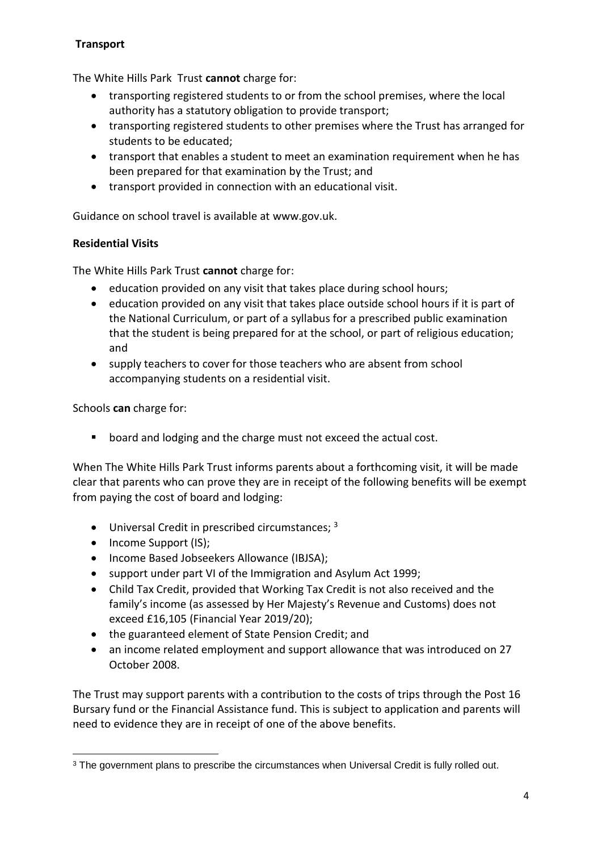# **Transport**

The White Hills Park Trust **cannot** charge for:

- transporting registered students to or from the school premises, where the local authority has a statutory obligation to provide transport;
- transporting registered students to other premises where the Trust has arranged for students to be educated;
- transport that enables a student to meet an examination requirement when he has been prepared for that examination by the Trust; and
- transport provided in connection with an educational visit.

Guidance on school travel is available at www.gov.uk.

### **Residential Visits**

The White Hills Park Trust **cannot** charge for:

- education provided on any visit that takes place during school hours;
- education provided on any visit that takes place outside school hours if it is part of the National Curriculum, or part of a syllabus for a prescribed public examination that the student is being prepared for at the school, or part of religious education; and
- supply teachers to cover for those teachers who are absent from school accompanying students on a residential visit.

Schools **can** charge for:

**•** board and lodging and the charge must not exceed the actual cost.

When The White Hills Park Trust informs parents about a forthcoming visit, it will be made clear that parents who can prove they are in receipt of the following benefits will be exempt from paying the cost of board and lodging:

- $\bullet$  Universal Credit in prescribed circumstances;  $3$
- Income Support (IS);
- Income Based Jobseekers Allowance (IBJSA);
- support under part VI of the Immigration and Asylum Act 1999;
- Child Tax Credit, provided that Working Tax Credit is not also received and the family's income (as assessed by Her Majesty's Revenue and Customs) does not exceed £16,105 (Financial Year 2019/20);
- the guaranteed element of State Pension Credit; and
- an income related employment and support allowance that was introduced on 27 October 2008.

The Trust may support parents with a contribution to the costs of trips through the Post 16 Bursary fund or the Financial Assistance fund. This is subject to application and parents will need to evidence they are in receipt of one of the above benefits.

**<sup>.</sup>** <sup>3</sup> The government plans to prescribe the circumstances when Universal Credit is fully rolled out.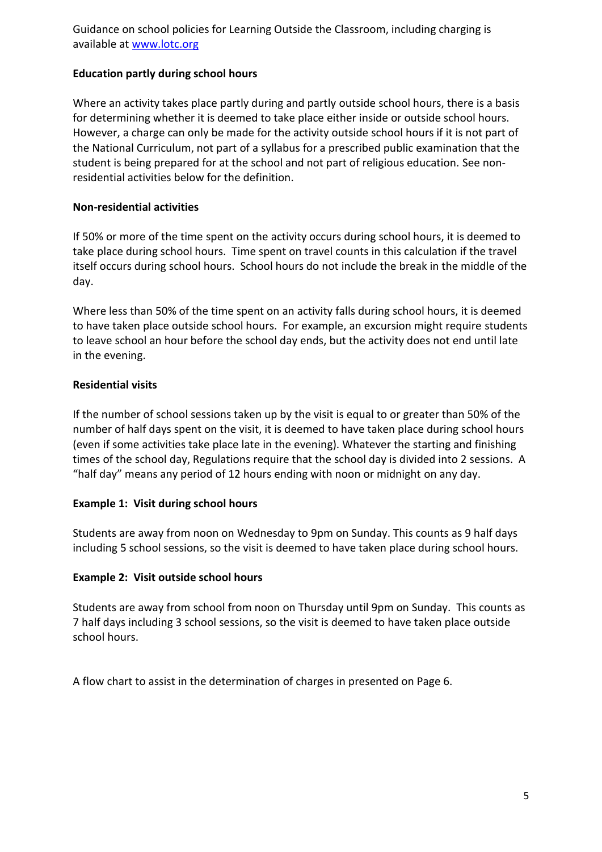Guidance on school policies for Learning Outside the Classroom, including charging is available at [www.lotc.org](http://www.lotc.org/)

#### **Education partly during school hours**

Where an activity takes place partly during and partly outside school hours, there is a basis for determining whether it is deemed to take place either inside or outside school hours. However, a charge can only be made for the activity outside school hours if it is not part of the National Curriculum, not part of a syllabus for a prescribed public examination that the student is being prepared for at the school and not part of religious education. See nonresidential activities below for the definition.

#### **Non-residential activities**

If 50% or more of the time spent on the activity occurs during school hours, it is deemed to take place during school hours. Time spent on travel counts in this calculation if the travel itself occurs during school hours. School hours do not include the break in the middle of the day.

Where less than 50% of the time spent on an activity falls during school hours, it is deemed to have taken place outside school hours. For example, an excursion might require students to leave school an hour before the school day ends, but the activity does not end until late in the evening.

#### **Residential visits**

If the number of school sessions taken up by the visit is equal to or greater than 50% of the number of half days spent on the visit, it is deemed to have taken place during school hours (even if some activities take place late in the evening). Whatever the starting and finishing times of the school day, Regulations require that the school day is divided into 2 sessions. A "half day" means any period of 12 hours ending with noon or midnight on any day.

#### **Example 1: Visit during school hours**

Students are away from noon on Wednesday to 9pm on Sunday. This counts as 9 half days including 5 school sessions, so the visit is deemed to have taken place during school hours.

#### **Example 2: Visit outside school hours**

Students are away from school from noon on Thursday until 9pm on Sunday. This counts as 7 half days including 3 school sessions, so the visit is deemed to have taken place outside school hours.

A flow chart to assist in the determination of charges in presented on Page 6.